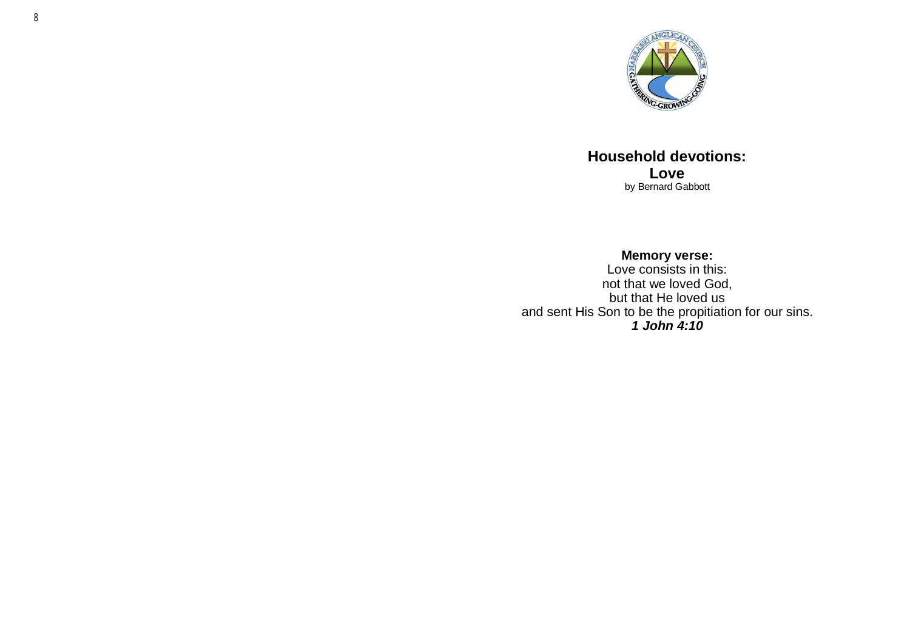

**Household devotions: Love** by Bernard Gabbott

**Memory verse:** Love consists in this: not that we loved God, but that He loved us and sent His Son to be the propitiation for our sins. *1 John 4:10*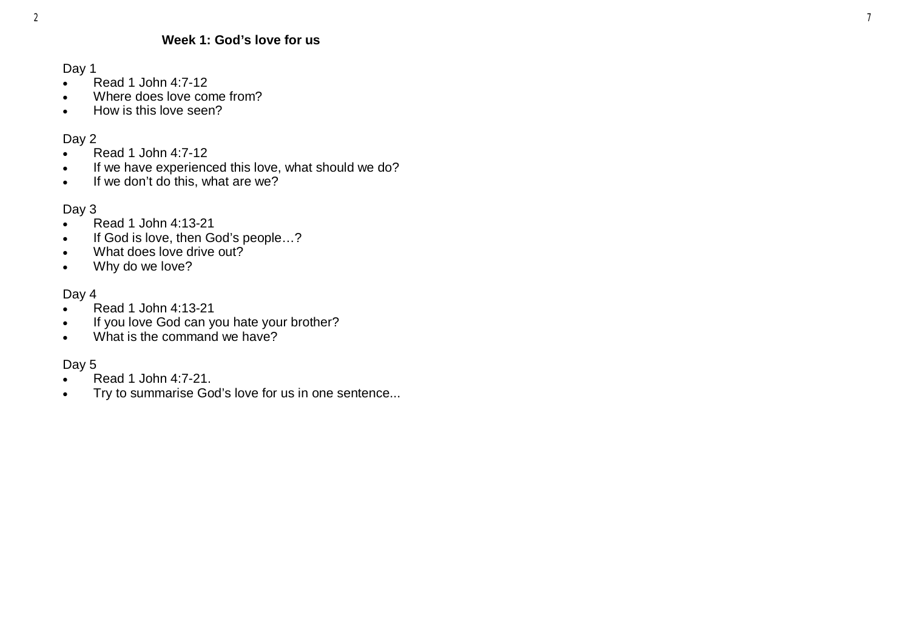#### **Week 1: God 's love for us**

Day 1

- Read 1 John 4:7-12
- Where does love come from?
- How is this love seen?

## Day 2

- Read 1 John 4:7-12
- If we have experienced this love, what should we do?
- $\bullet$  If we don't do this, what are we?

## Day 3

- Read 1 John 4:13-21
- If God is love, then God's people...?
- . What does love drive out?
- Why do we love?

## Day 4

- Read 1 John 4:13-21
- If you love God can you hate your brother?
- What is the command we have?

# Day 5

- Read 1 John 4:7-21.
- Try to summarise God 's love for us in one sentence...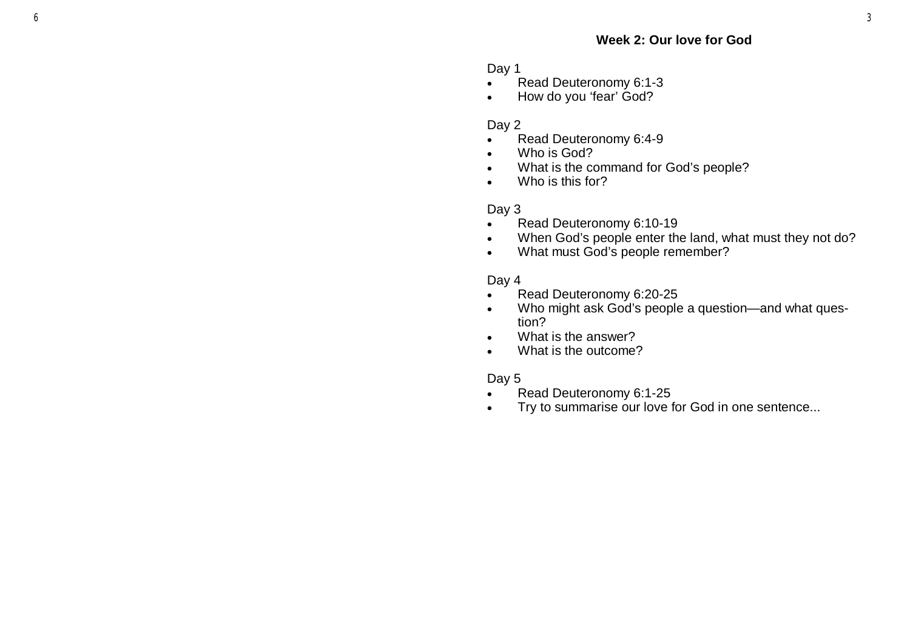Day 1

- Read Deuteronomy 6:1-3
- How do you 'fear' God?

#### Day 2

- Read Deuteronomy 6:4-9
- Who is God?
- What is the command for God 's people?
- Who is this for?

#### Day 3

- Read Deuteronomy 6:10-19
- When God 's people enter the land, what must they not do?
- What must God 's people remember?

#### Day 4

- Read Deuteronomy 6:20-25
- Who might ask God 's people a question —and what question?
- What is the answer?
- What is the outcome?

#### Day 5

- Read Deuteronomy 6:1 -25
- Try to summarise our love for God in one sentence...